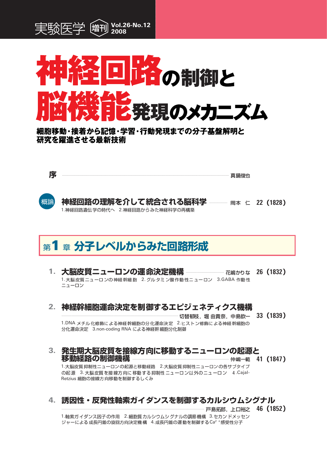



細胞移動・接着から記憶・学習・行動発現までの分子基盤解明と 研究を躍進させる最新技術

序

真鍋俊也



**神経回路の理解を介して統合される脳科学 ――― 岡本 仁 22(1828)** 1.神経回路遺伝学の時代へ 2.神経回路からみた神経科学の再構築

# 第1章 分子レベルからみた回路形成

1. 大脳皮質ニューロンの神経幹細胞 2. グルタミン酸作動性ニューロン 3.GABA 作動性 ニューロン

### 2. 神経幹細胞運命決定を制御するエピジェネティクス機構

- 切替郁枝,堀 由貴奈,中島欽一 33 (1839) 1.DNA メチル化修飾による神経幹細胞の分化運命決定 2.ヒストン修飾による神経幹細胞の 分化運命決定 3.non-coding RNA による神経幹 細胞分化制御
- 3.発生期大脳皮質を接線方向に移動するニューロンの起源と 仲嶋一範 41 (1847)

1.大脳皮質抑制性ニューロンの起源と移動経路 2.大脳皮質抑制性ニューロンの各サブタイプ の起源 3. 大脳皮質を接線方向に移動する抑制性ニューロン以外のニューロン 4. Cajal-Retzius 細胞の接線方向移動を制御するしくみ

### 4. 誘因性・反発性軸索ガイダンスを制御するカルシウムシグナル

---- 戸島拓郎, 上口裕之 46 (1852)

1.軸索ガイダンス因子の作用 2. 細胞質カルシウムシグナルの調節機構 3.セカンドメッセン ジャーによる成長円錐の旋回方向決定機構 4.成長円錐の運動を制御するCa<sup>2 +</sup>感受性分子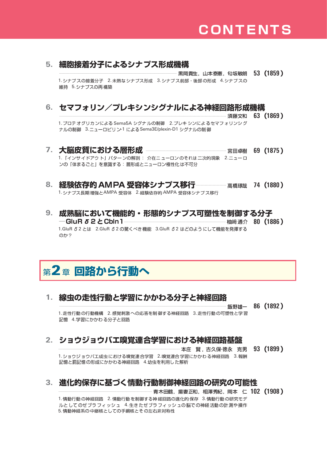#### 5. 細胞接着分子によるシナプス形成機構

-- 黒岡貴生,山本泰憲,匂坂敏朗(133(1859) 1. シナプスの接着分子 2. 未熟な シナプス形成 3. シナプス前部・後部の形成 4. シナプスの 維持 5. シナプスの再構築

### 6. セマフォリン/プレキシンシグナルによる神経回路形成機構

須藤文和 63 (1869) 1. プロテ オグリカ ンによる Sema5A シグナ ルの制御 2. プレキ シンによるセマフ ォリンシ グ ナルの制御 3.ニューロピリン-1 による Sema3E/plexin-D1 シグナルの制御 7. 大脳皮質における層形成 ┈┈┈┈ 宮田卓樹 69 (1875) 1. 「インサイドアウト」パターンの解剖: 介在ニューロンのそれは二次的現象 2.ニューロ ンの「体まるごと」を意識する:層形成とニューロン極性化は不可分

#### 8. 経験依存的 AMPA 受容体シナプス移行—————— 高橋琢哉 74 (1880) 1. シナプス長期増強とAMPA 受容体 2. 経験依存的 AMPA 受容体シナプス移行

9. 成熟脳において機能的・形態的シナプス可塑性を制御する分子 ーGluR *δ* 2 とCbln 1 --柚﨑通介 80 (1886)

1.GluR 52とは 2.GluR 52の驚くべき機能 3.GluR 52 はどのようにして機能を発揮する のか?

## 第2章 回路から行動へ

#### 線虫の走性行動と学習にかかわる分子と神経回路  $1_{-}$

86 (1892) 飯野雄一

1. 走性行動 の行動機構 2. 感覚刺激 への応答を制 御する神経回路 3. 走性行動 の可塑性と学習 記憶 4.学習にかかわる分子と回路

### 2. ショウジョウバエ嗅覚連合学習における神経回路基盤

本庄 賢, 古久保徳永 克男 93 (1899) 1. ショウジョウバエ成虫における嗅覚連合学習 2.嗅覚連合学習にかかわる神経回路 3.報酬 記憶と罰記憶の形成にかかわる神経回路 4.幼虫を利用した解析

### 3. 進化的保存に基づく情動行動制御神経回路の研究の可能性

**…… 青木田鶴,揚妻正和,相澤秀紀,岡本(二 102 (1908)** 1. 情動行動の神経回路 2. 情動行動を制御する神経回路の進化的保存 3. 情動行動の研究モデ ルとしてのゼブラフィッシュ 4.生きたゼブラフィッシュの脳での神経活動の計測や操作 5. 情動神経系の中継核としての手綱核とその左右非対称性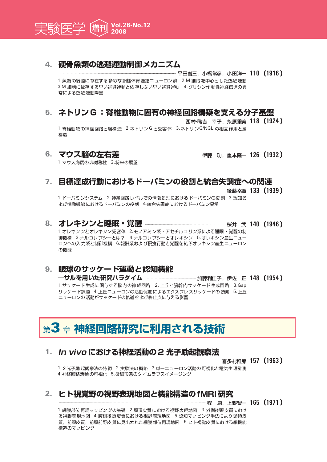

#### 4. 硬骨魚類の逃避運動制御メカニズム

… 平田普三,小橋常彦,小田洋— 110 (1916)

1. 魚類の後脳に存在する多彩な網様体脊髄路ニューロン群 2.M 細胞を中心とした逃避運動 3.M 細胞に依存する早い逃避運動と依存しない早い逃避運動 4. グリシン作動性神経伝達の異 常による逃避運動障害

### 5. ネトリンG:脊椎動物に固有の神経回路構築を支える分子基盤

--- 西村-穐吉 幸子.糸原重美 118 (1924) 1. 脊椎動物の神経回路と層構造 2. ネトリンG と受容体 3. ネトリンG/NGL の相互作用と層 構造

#### 6. マウス脳の左右差…

┈┈┈ 伊藤 功,重本隆**一 126 (1932 )** 

1. マウス海馬の非対称性 2. 将来の展望

#### 7. 目標達成行動におけるドーパミンの役割と統合失調症への関連

- 後藤幸織 133 (1939)

1. ドーパミンシステム 2. 神経回路レベルでの情報処理におけるドーパミンの役割 3.認知お よび情動機能におけるドーパミンの役割 4.統合失調症におけるドーパミン異常

#### 8. オレキシンと睡眠・覚醒 ―――――― ┈┈┈桜井 武 140 (1946) 1.オレキシンとオレキシン受容体 2.モノアミン系・アセチルコリン系による睡眠・覚醒の制 御機構 3.ナルコレプシーとは? 4.ナルコレプシーとオレキシン 5.オレキシン産生ニュー ロンへの入力系と制御機構 6.報酬系および摂食行動と覚醒を結ぶオレキシン産生ニューロン の機能

### 9. 眼球のサッケード運動と認知機能

―サルを用いた研究パラダイム ―――― …… 加藤利佳子,伊佐 正 148 (1954) 1.サッケード生成に関与する脳内の神経回路
2. 上丘と脳幹内サッケード生成回路
3.Gap サッケード課題 4.上丘ニューロンの活動促進によるエクスプレスサッケードの誘発 5.上丘 ニューロンの活動がサッケードの軌道および終止点に与える影響

# 第3章 神経回路研究に利用される技術

#### 1. In vivo における神経活動の 2 光子励起観察法

喜多村和郎 157 (1963)

1.2光子励起観察法の特徴 2.実験法の概略 3.単一ニューロン活動の可視化と電気生理計測 4. 神経回路活動の可視化 5. 微細形態のタイムラプスイメージング

### 2. ヒト視覚野の視野表現地図と機能構造のfMRI研究

┈┈┈┈ 程 康,上野賢一 165 (1971 )

1. 網膜部位再現マッピングの基礎 2. 頭頂皮質における視野表現地図 3. 外側後頭皮質におけ る視野表現地図 4.腹側後頭皮質における視野表現地図 5.認知マッピング手法により頭頂皮 質. 前頭皮質. 前頭前野皮質に見出された網膜部位再現地図 6.ヒト視覚皮質における細機能 構造のマッピング